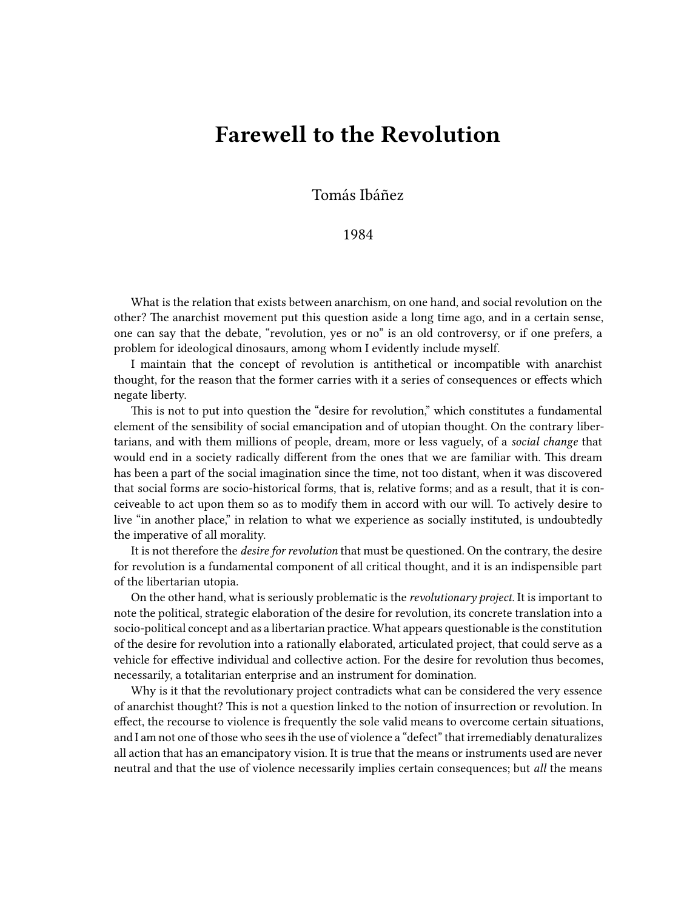## **Farewell to the Revolution**

Tomás Ibáñez

## 1984

What is the relation that exists between anarchism, on one hand, and social revolution on the other? The anarchist movement put this question aside a long time ago, and in a certain sense, one can say that the debate, "revolution, yes or no" is an old controversy, or if one prefers, a problem for ideological dinosaurs, among whom I evidently include myself.

I maintain that the concept of revolution is antithetical or incompatible with anarchist thought, for the reason that the former carries with it a series of consequences or effects which negate liberty.

This is not to put into question the "desire for revolution," which constitutes a fundamental element of the sensibility of social emancipation and of utopian thought. On the contrary libertarians, and with them millions of people, dream, more or less vaguely, of a *social change* that would end in a society radically different from the ones that we are familiar with. This dream has been a part of the social imagination since the time, not too distant, when it was discovered that social forms are socio-historical forms, that is, relative forms; and as a result, that it is conceiveable to act upon them so as to modify them in accord with our will. To actively desire to live "in another place," in relation to what we experience as socially instituted, is undoubtedly the imperative of all morality.

It is not therefore the *desire for revolution* that must be questioned. On the contrary, the desire for revolution is a fundamental component of all critical thought, and it is an indispensible part of the libertarian utopia.

On the other hand, what is seriously problematic is the *revolutionary project*. It is important to note the political, strategic elaboration of the desire for revolution, its concrete translation into a socio-political concept and as a libertarian practice. What appears questionable is the constitution of the desire for revolution into a rationally elaborated, articulated project, that could serve as a vehicle for effective individual and collective action. For the desire for revolution thus becomes, necessarily, a totalitarian enterprise and an instrument for domination.

Why is it that the revolutionary project contradicts what can be considered the very essence of anarchist thought? This is not a question linked to the notion of insurrection or revolution. In effect, the recourse to violence is frequently the sole valid means to overcome certain situations, and I am not one of those who sees ih the use of violence a "defect" that irremediably denaturalizes all action that has an emancipatory vision. It is true that the means or instruments used are never neutral and that the use of violence necessarily implies certain consequences; but *all* the means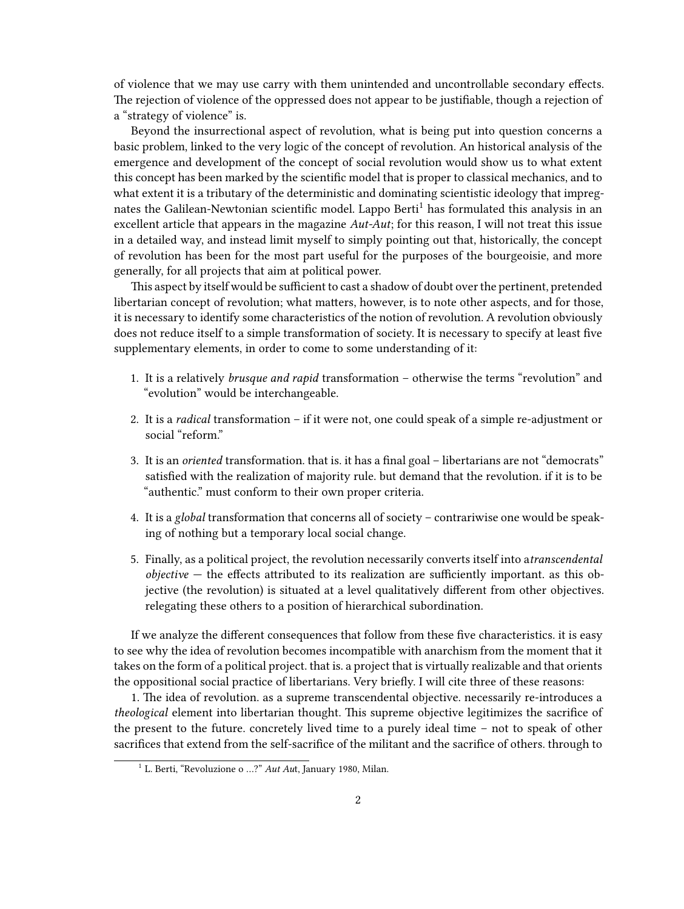of violence that we may use carry with them unintended and uncontrollable secondary effects. The rejection of violence of the oppressed does not appear to be justifiable, though a rejection of a "strategy of violence" is.

Beyond the insurrectional aspect of revolution, what is being put into question concerns a basic problem, linked to the very logic of the concept of revolution. An historical analysis of the emergence and development of the concept of social revolution would show us to what extent this concept has been marked by the scientific model that is proper to classical mechanics, and to what extent it is a tributary of the deterministic and dominating scientistic ideology that impregnates the Galilean-Newtonian scientific model. Lappo Berti<sup>1</sup> has formulated this analysis in an excellent article that appears in the magazine *Aut-Aut*; for this reason, I will not treat this issue in a detailed way, and instead limit myself to simply pointing out that, historically, the concept of revolution has been for the most part useful for the purposes of the bourgeoisie, and more generally, for all projects that aim at political power.

This aspect by itself would be sufficient to cast a shadow of doubt over the pertinent, pretended libertarian concept of revolution; what matters, however, is to note other aspects, and for those, it is necessary to identify some characteristics of the notion of revolution. A revolution obviously does not reduce itself to a simple transformation of society. It is necessary to specify at least five supplementary elements, in order to come to some understanding of it:

- 1. It is a relatively *brusque and rapid* transformation otherwise the terms "revolution" and "evolution" would be interchangeable.
- 2. It is a *radical* transformation if it were not, one could speak of a simple re-adjustment or social "reform."
- 3. It is an *oriented* transformation. that is. it has a final goal libertarians are not "democrats" satisfied with the realization of majority rule. but demand that the revolution. if it is to be "authentic." must conform to their own proper criteria.
- 4. It is a *global* transformation that concerns all of society contrariwise one would be speaking of nothing but a temporary local social change.
- 5. Finally, as a political project, the revolution necessarily converts itself into a*transcendental objective* — the effects attributed to its realization are sufficiently important. as this objective (the revolution) is situated at a level qualitatively different from other objectives. relegating these others to a position of hierarchical subordination.

If we analyze the different consequences that follow from these five characteristics. it is easy to see why the idea of revolution becomes incompatible with anarchism from the moment that it takes on the form of a political project. that is. a project that is virtually realizable and that orients the oppositional social practice of libertarians. Very briefly. I will cite three of these reasons:

1. The idea of revolution. as a supreme transcendental objective. necessarily re-introduces a *theological* element into libertarian thought. This supreme objective legitimizes the sacrifice of the present to the future. concretely lived time to a purely ideal time – not to speak of other sacrifices that extend from the self-sacrifice of the militant and the sacrifice of others. through to

<sup>&</sup>lt;sup>1</sup> L. Berti, "Revoluzione o ...?" *Aut Aut*, January 1980, Milan.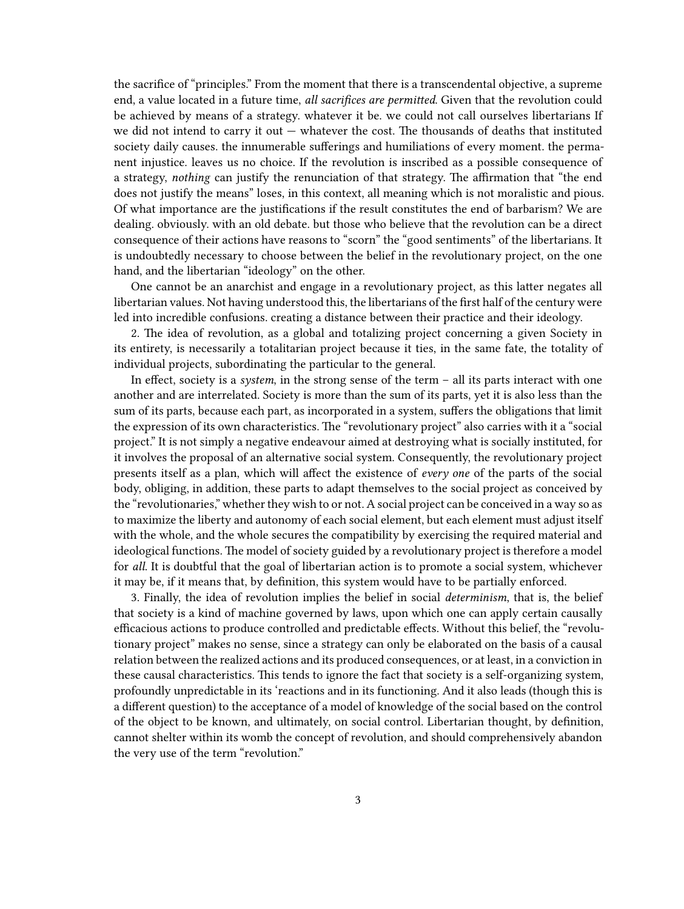the sacrifice of "principles." From the moment that there is a transcendental objective, a supreme end, a value located in a future time, *all sacrifices are permitted*. Given that the revolution could be achieved by means of a strategy. whatever it be. we could not call ourselves libertarians If we did not intend to carry it out — whatever the cost. The thousands of deaths that instituted society daily causes. the innumerable sufferings and humiliations of every moment. the permanent injustice. leaves us no choice. If the revolution is inscribed as a possible consequence of a strategy, *nothing* can justify the renunciation of that strategy. The affirmation that "the end does not justify the means" loses, in this context, all meaning which is not moralistic and pious. Of what importance are the justifications if the result constitutes the end of barbarism? We are dealing. obviously. with an old debate. but those who believe that the revolution can be a direct consequence of their actions have reasons to "scorn" the "good sentiments" of the libertarians. It is undoubtedly necessary to choose between the belief in the revolutionary project, on the one hand, and the libertarian "ideology" on the other.

One cannot be an anarchist and engage in a revolutionary project, as this latter negates all libertarian values. Not having understood this, the libertarians of the first half of the century were led into incredible confusions. creating a distance between their practice and their ideology.

2. The idea of revolution, as a global and totalizing project concerning a given Society in its entirety, is necessarily a totalitarian project because it ties, in the same fate, the totality of individual projects, subordinating the particular to the general.

In effect, society is a *system*, in the strong sense of the term – all its parts interact with one another and are interrelated. Society is more than the sum of its parts, yet it is also less than the sum of its parts, because each part, as incorporated in a system, suffers the obligations that limit the expression of its own characteristics. The "revolutionary project" also carries with it a "social project." It is not simply a negative endeavour aimed at destroying what is socially instituted, for it involves the proposal of an alternative social system. Consequently, the revolutionary project presents itself as a plan, which will affect the existence of *every one* of the parts of the social body, obliging, in addition, these parts to adapt themselves to the social project as conceived by the "revolutionaries," whether they wish to or not. A social project can be conceived in a way so as to maximize the liberty and autonomy of each social element, but each element must adjust itself with the whole, and the whole secures the compatibility by exercising the required material and ideological functions. The model of society guided by a revolutionary project is therefore a model for *all*. It is doubtful that the goal of libertarian action is to promote a social system, whichever it may be, if it means that, by definition, this system would have to be partially enforced.

3. Finally, the idea of revolution implies the belief in social *determinism*, that is, the belief that society is a kind of machine governed by laws, upon which one can apply certain causally efficacious actions to produce controlled and predictable effects. Without this belief, the "revolutionary project" makes no sense, since a strategy can only be elaborated on the basis of a causal relation between the realized actions and its produced consequences, or at least, in a conviction in these causal characteristics. This tends to ignore the fact that society is a self-organizing system, profoundly unpredictable in its 'reactions and in its functioning. And it also leads (though this is a different question) to the acceptance of a model of knowledge of the social based on the control of the object to be known, and ultimately, on social control. Libertarian thought, by definition, cannot shelter within its womb the concept of revolution, and should comprehensively abandon the very use of the term "revolution."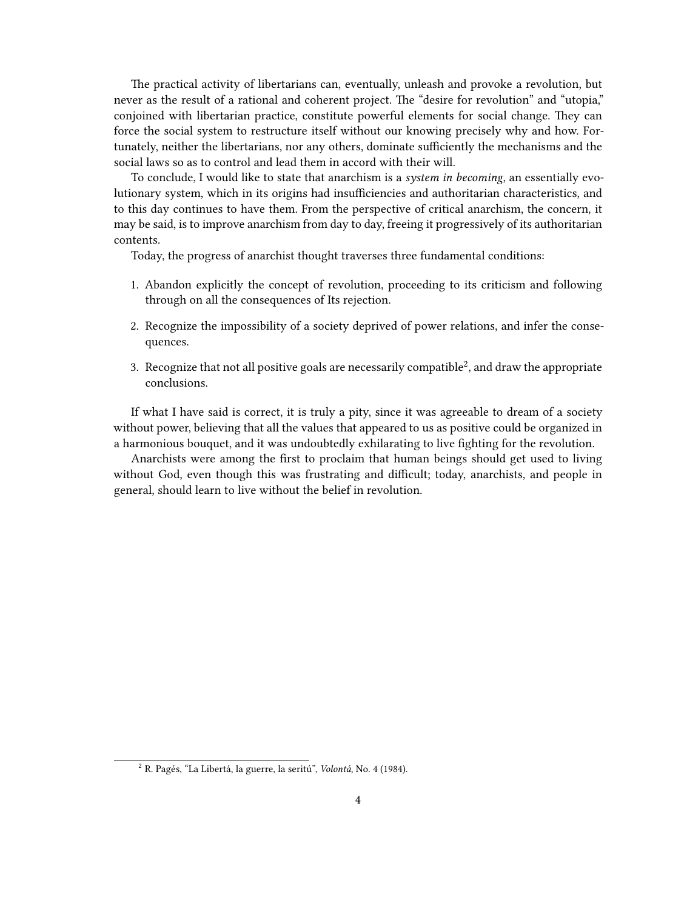The practical activity of libertarians can, eventually, unleash and provoke a revolution, but never as the result of a rational and coherent project. The "desire for revolution" and "utopia," conjoined with libertarian practice, constitute powerful elements for social change. They can force the social system to restructure itself without our knowing precisely why and how. Fortunately, neither the libertarians, nor any others, dominate sufficiently the mechanisms and the social laws so as to control and lead them in accord with their will.

To conclude, I would like to state that anarchism is a *system in becoming*, an essentially evolutionary system, which in its origins had insufficiencies and authoritarian characteristics, and to this day continues to have them. From the perspective of critical anarchism, the concern, it may be said, is to improve anarchism from day to day, freeing it progressively of its authoritarian contents.

Today, the progress of anarchist thought traverses three fundamental conditions:

- 1. Abandon explicitly the concept of revolution, proceeding to its criticism and following through on all the consequences of Its rejection.
- 2. Recognize the impossibility of a society deprived of power relations, and infer the consequences.
- 3. Recognize that not all positive goals are necessarily compatible<sup>2</sup>, and draw the appropriate conclusions.

If what I have said is correct, it is truly a pity, since it was agreeable to dream of a society without power, believing that all the values that appeared to us as positive could be organized in a harmonious bouquet, and it was undoubtedly exhilarating to live fighting for the revolution.

Anarchists were among the first to proclaim that human beings should get used to living without God, even though this was frustrating and difficult; today, anarchists, and people in general, should learn to live without the belief in revolution.

<sup>2</sup> R. Pagés, "La Libertá, la guerre, la seritú", *Volontá*, No. 4 (1984).